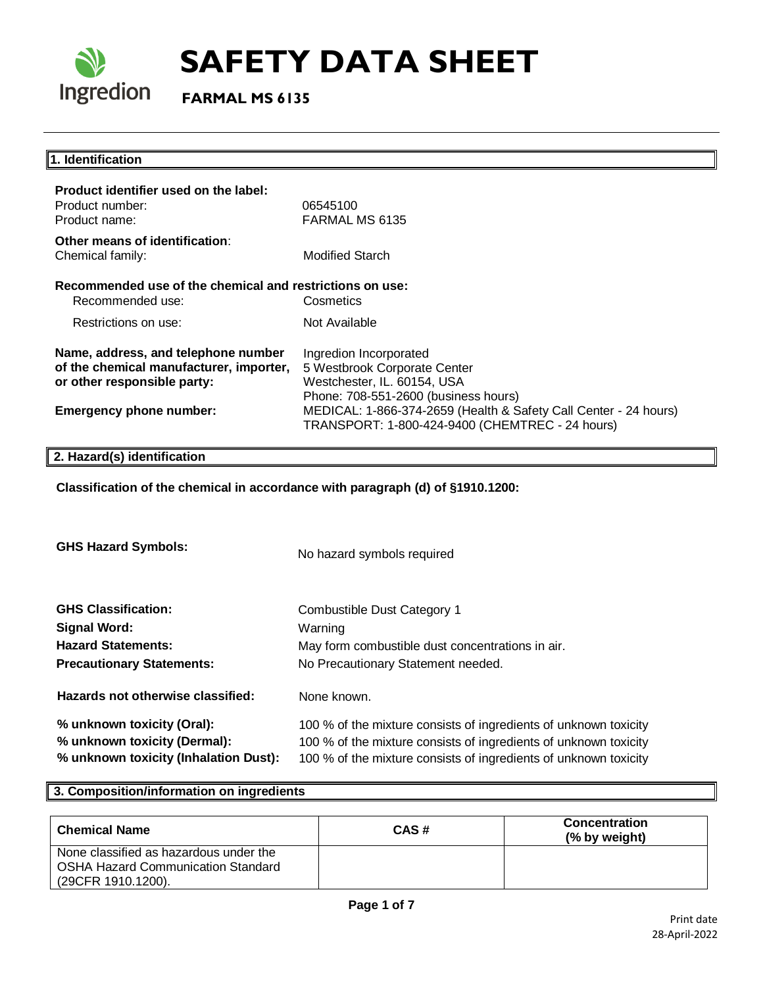

 **FARMAL MS 6135**

## **1. Identification Product identifier used on the label:** Product number: 06545100 Product name: FARMAL MS 6135 **Other means of identification**: Chemical family: Modified Starch **Recommended use of the chemical and restrictions on use:**  Recommended use: Cosmetics Restrictions on use: Not Available **Name, address, and telephone number of the chemical manufacturer, importer, or other responsible party:**  Ingredion Incorporated 5 Westbrook Corporate Center Westchester, IL. 60154, USA Phone: 708-551-2600 (business hours) **Emergency phone number:** MEDICAL: 1-866-374-2659 (Health & Safety Call Center - 24 hours) TRANSPORT: 1-800-424-9400 (CHEMTREC - 24 hours) **2. Hazard(s) identification**

**Classification of the chemical in accordance with paragraph (d) of §1910.1200:**

| <b>GHS Hazard Symbols:</b>            | No hazard symbols required                                       |  |
|---------------------------------------|------------------------------------------------------------------|--|
| <b>GHS Classification:</b>            | Combustible Dust Category 1                                      |  |
| <b>Signal Word:</b>                   | Warning                                                          |  |
| <b>Hazard Statements:</b>             | May form combustible dust concentrations in air.                 |  |
| <b>Precautionary Statements:</b>      | No Precautionary Statement needed.                               |  |
| Hazards not otherwise classified:     | None known.                                                      |  |
| % unknown toxicity (Oral):            | 100 % of the mixture consists of ingredients of unknown toxicity |  |
| % unknown toxicity (Dermal):          | 100 % of the mixture consists of ingredients of unknown toxicity |  |
| % unknown toxicity (Inhalation Dust): | 100 % of the mixture consists of ingredients of unknown toxicity |  |

## **3. Composition/information on ingredients**

| <b>Chemical Name</b>                                                                                      | CAS# | <b>Concentration</b><br>(% by weight) |
|-----------------------------------------------------------------------------------------------------------|------|---------------------------------------|
| None classified as hazardous under the<br><b>OSHA Hazard Communication Standard</b><br>(29CFR 1910.1200). |      |                                       |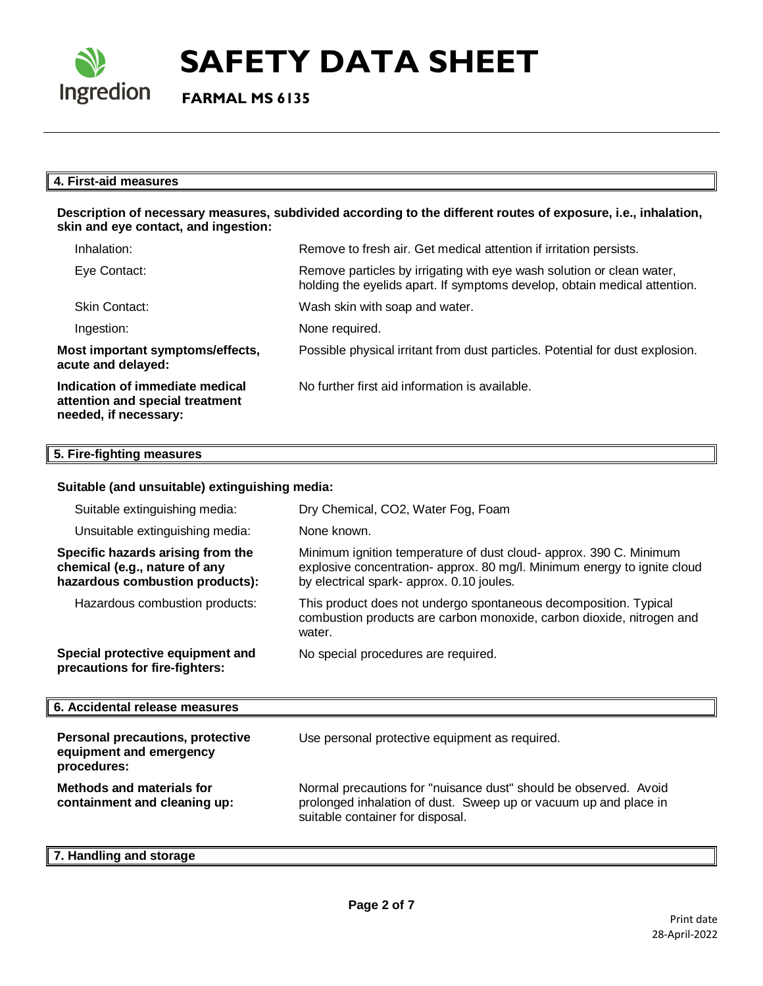

 **FARMAL MS 6135**

## **4. First-aid measures**

### **Description of necessary measures, subdivided according to the different routes of exposure, i.e., inhalation, skin and eye contact, and ingestion:**

| Inhalation:                                                                                 | Remove to fresh air. Get medical attention if irritation persists.                                                                                 |
|---------------------------------------------------------------------------------------------|----------------------------------------------------------------------------------------------------------------------------------------------------|
| Eye Contact:                                                                                | Remove particles by irrigating with eye wash solution or clean water,<br>holding the eyelids apart. If symptoms develop, obtain medical attention. |
| Skin Contact:                                                                               | Wash skin with soap and water.                                                                                                                     |
| Ingestion:                                                                                  | None required.                                                                                                                                     |
| Most important symptoms/effects,<br>acute and delayed:                                      | Possible physical irritant from dust particles. Potential for dust explosion.                                                                      |
| Indication of immediate medical<br>attention and special treatment<br>needed, if necessary: | No further first aid information is available.                                                                                                     |

## **5. Fire-fighting measures**

## **Suitable (and unsuitable) extinguishing media:**

| Suitable extinguishing media:                                                                         | Dry Chemical, CO2, Water Fog, Foam                                                                                                                                                          |
|-------------------------------------------------------------------------------------------------------|---------------------------------------------------------------------------------------------------------------------------------------------------------------------------------------------|
| Unsuitable extinguishing media:                                                                       | None known.                                                                                                                                                                                 |
| Specific hazards arising from the<br>chemical (e.g., nature of any<br>hazardous combustion products): | Minimum ignition temperature of dust cloud- approx. 390 C. Minimum<br>explosive concentration- approx. 80 mg/l. Minimum energy to ignite cloud<br>by electrical spark- approx. 0.10 joules. |
| Hazardous combustion products:                                                                        | This product does not undergo spontaneous decomposition. Typical<br>combustion products are carbon monoxide, carbon dioxide, nitrogen and<br>water.                                         |
| Special protective equipment and<br>precautions for fire-fighters:                                    | No special procedures are required.                                                                                                                                                         |

#### **6. Accidental release measures Personal precautions, protective equipment and emergency procedures:**  Use personal protective equipment as required. **Methods and materials for containment and cleaning up:**  Normal precautions for "nuisance dust" should be observed. Avoid prolonged inhalation of dust. Sweep up or vacuum up and place in suitable container for disposal.

**7. Handling and storage**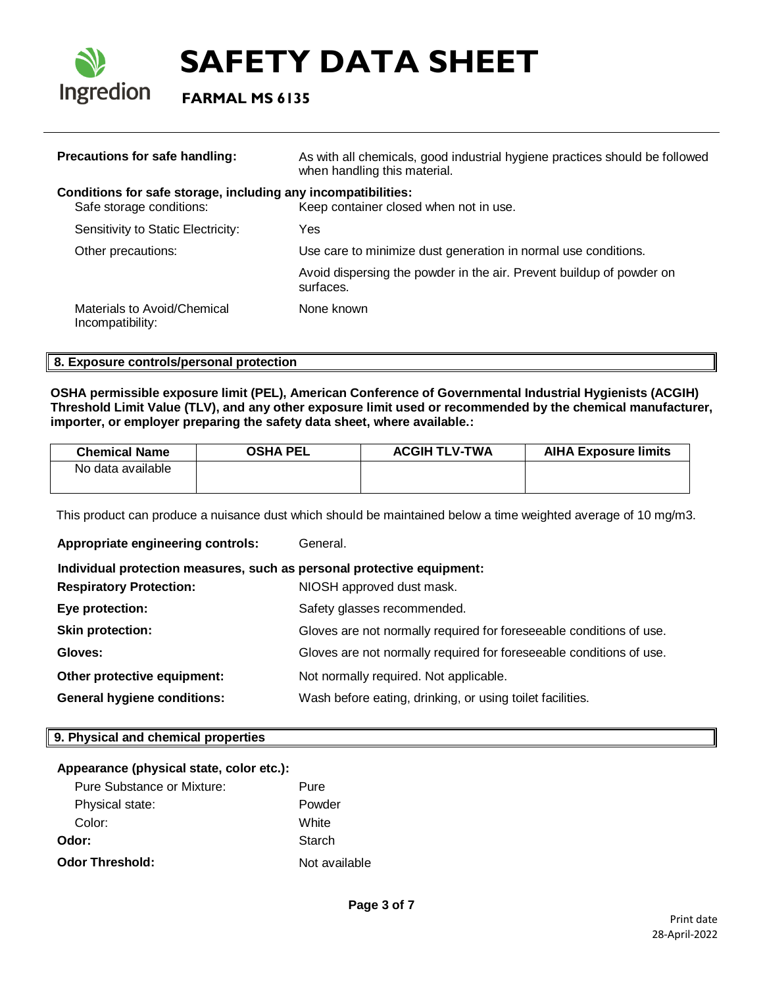

 **FARMAL MS 6135**

| Precautions for safe handling:                                                            | As with all chemicals, good industrial hygiene practices should be followed<br>when handling this material. |
|-------------------------------------------------------------------------------------------|-------------------------------------------------------------------------------------------------------------|
| Conditions for safe storage, including any incompatibilities:<br>Safe storage conditions: | Keep container closed when not in use.                                                                      |
| Sensitivity to Static Electricity:                                                        | Yes                                                                                                         |
| Other precautions:                                                                        | Use care to minimize dust generation in normal use conditions.                                              |
|                                                                                           | Avoid dispersing the powder in the air. Prevent buildup of powder on<br>surfaces.                           |
| Materials to Avoid/Chemical<br>Incompatibility:                                           | None known                                                                                                  |

## **8. Exposure controls/personal protection**

**OSHA permissible exposure limit (PEL), American Conference of Governmental Industrial Hygienists (ACGIH) Threshold Limit Value (TLV), and any other exposure limit used or recommended by the chemical manufacturer, importer, or employer preparing the safety data sheet, where available.:**

| <b>Chemical Name</b> | <b>OSHA PEL</b> | <b>ACGIH TLV-TWA</b> | <b>AIHA Exposure limits</b> |
|----------------------|-----------------|----------------------|-----------------------------|
| No data available    |                 |                      |                             |
|                      |                 |                      |                             |

This product can produce a nuisance dust which should be maintained below a time weighted average of 10 mg/m3.

**Appropriate engineering controls:** General.  **Individual protection measures, such as personal protective equipment: Respiratory Protection:** NIOSH approved dust mask. **Eye protection:** Safety glasses recommended. **Skin protection:** Gloves are not normally required for foreseeable conditions of use. **Gloves:** Gloves are not normally required for foreseeable conditions of use. **Other protective equipment:** Not normally required. Not applicable. **General hygiene conditions:** Wash before eating, drinking, or using toilet facilities.

## **9. Physical and chemical properties**

## **Appearance (physical state, color etc.):**

| Pure Substance or Mixture: | Pure          |
|----------------------------|---------------|
| Physical state:            | Powder        |
| Color:                     | White         |
| Odor:                      | Starch        |
| <b>Odor Threshold:</b>     | Not available |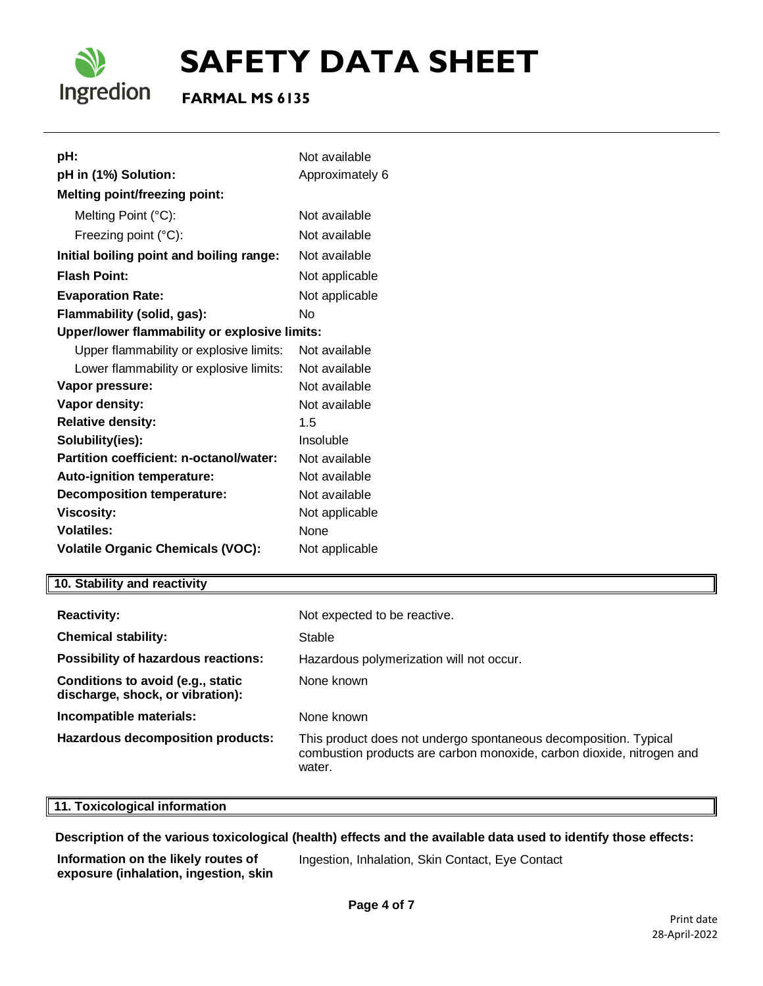

## **FARMAL MS 6135**

| pH:                                           | Not available   |  |  |
|-----------------------------------------------|-----------------|--|--|
| pH in (1%) Solution:                          | Approximately 6 |  |  |
| <b>Melting point/freezing point:</b>          |                 |  |  |
| Melting Point (°C):                           | Not available   |  |  |
| Freezing point (°C):                          | Not available   |  |  |
| Initial boiling point and boiling range:      | Not available   |  |  |
| <b>Flash Point:</b>                           | Not applicable  |  |  |
| <b>Evaporation Rate:</b>                      | Not applicable  |  |  |
| Flammability (solid, gas):                    | No              |  |  |
| Upper/lower flammability or explosive limits: |                 |  |  |
| Upper flammability or explosive limits:       | Not available   |  |  |
| Lower flammability or explosive limits:       | Not available   |  |  |
| Vapor pressure:                               | Not available   |  |  |
| <b>Vapor density:</b>                         | Not available   |  |  |
| <b>Relative density:</b>                      | 1.5             |  |  |
| Solubility(ies):                              | Insoluble       |  |  |
| Partition coefficient: n-octanol/water:       | Not available   |  |  |
| <b>Auto-ignition temperature:</b>             | Not available   |  |  |
| <b>Decomposition temperature:</b>             | Not available   |  |  |
| <b>Viscosity:</b>                             | Not applicable  |  |  |
| <b>Volatiles:</b>                             | None            |  |  |
| <b>Volatile Organic Chemicals (VOC):</b>      | Not applicable  |  |  |

## **10. Stability and reactivity**

| <b>Reactivity:</b>                                                    | Not expected to be reactive.                                                                                                                        |
|-----------------------------------------------------------------------|-----------------------------------------------------------------------------------------------------------------------------------------------------|
| <b>Chemical stability:</b>                                            | Stable                                                                                                                                              |
| Possibility of hazardous reactions:                                   | Hazardous polymerization will not occur.                                                                                                            |
| Conditions to avoid (e.g., static<br>discharge, shock, or vibration): | None known                                                                                                                                          |
| Incompatible materials:                                               | None known                                                                                                                                          |
| Hazardous decomposition products:                                     | This product does not undergo spontaneous decomposition. Typical<br>combustion products are carbon monoxide, carbon dioxide, nitrogen and<br>water. |

## **11. Toxicological information**

**Description of the various toxicological (health) effects and the available data used to identify those effects:**

**Information on the likely routes of exposure (inhalation, ingestion, skin**  Ingestion, Inhalation, Skin Contact, Eye Contact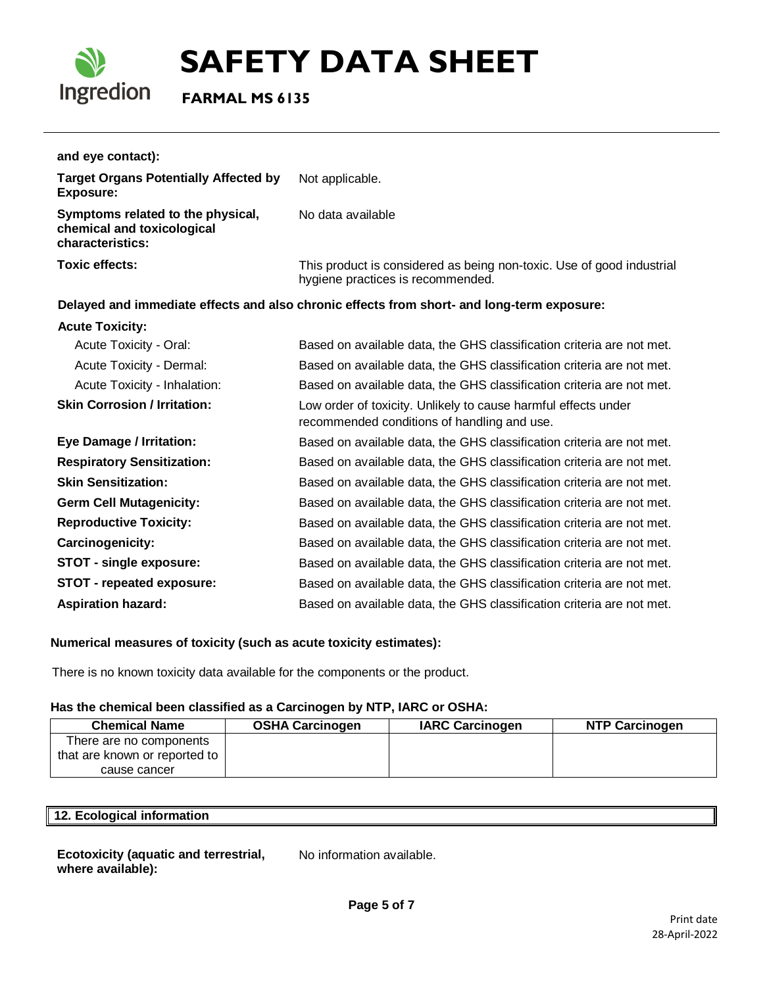

 **FARMAL MS 6135**

| and eye contact):                                                                   |                                                                                                               |
|-------------------------------------------------------------------------------------|---------------------------------------------------------------------------------------------------------------|
| <b>Target Organs Potentially Affected by</b><br><b>Exposure:</b>                    | Not applicable.                                                                                               |
| Symptoms related to the physical,<br>chemical and toxicological<br>characteristics: | No data available                                                                                             |
| <b>Toxic effects:</b>                                                               | This product is considered as being non-toxic. Use of good industrial<br>hygiene practices is recommended.    |
|                                                                                     | Delayed and immediate effects and also chronic effects from short- and long-term exposure:                    |
| <b>Acute Toxicity:</b>                                                              |                                                                                                               |
| Acute Toxicity - Oral:                                                              | Based on available data, the GHS classification criteria are not met.                                         |
| Acute Toxicity - Dermal:                                                            | Based on available data, the GHS classification criteria are not met.                                         |
| Acute Toxicity - Inhalation:                                                        | Based on available data, the GHS classification criteria are not met.                                         |
| <b>Skin Corrosion / Irritation:</b>                                                 | Low order of toxicity. Unlikely to cause harmful effects under<br>recommended conditions of handling and use. |
| <b>Eye Damage / Irritation:</b>                                                     | Based on available data, the GHS classification criteria are not met.                                         |
| <b>Respiratory Sensitization:</b>                                                   | Based on available data, the GHS classification criteria are not met.                                         |
| <b>Skin Sensitization:</b>                                                          | Based on available data, the GHS classification criteria are not met.                                         |
| <b>Germ Cell Mutagenicity:</b>                                                      | Based on available data, the GHS classification criteria are not met.                                         |
| <b>Reproductive Toxicity:</b>                                                       | Based on available data, the GHS classification criteria are not met.                                         |
| <b>Carcinogenicity:</b>                                                             | Based on available data, the GHS classification criteria are not met.                                         |
| STOT - single exposure:                                                             | Based on available data, the GHS classification criteria are not met.                                         |
| STOT - repeated exposure:                                                           | Based on available data, the GHS classification criteria are not met.                                         |
| <b>Aspiration hazard:</b>                                                           | Based on available data, the GHS classification criteria are not met.                                         |

## **Numerical measures of toxicity (such as acute toxicity estimates):**

There is no known toxicity data available for the components or the product.

## **Has the chemical been classified as a Carcinogen by NTP, IARC or OSHA:**

| <b>Chemical Name</b>          | <b>OSHA Carcinogen</b> | <b>IARC Carcinogen</b> | <b>NTP Carcinogen</b> |
|-------------------------------|------------------------|------------------------|-----------------------|
| There are no components       |                        |                        |                       |
| that are known or reported to |                        |                        |                       |
| cause cancer                  |                        |                        |                       |

| 12. Ecolc<br>-45-- |  |  |
|--------------------|--|--|
|                    |  |  |

### **Ecotoxicity (aquatic and terrestrial, where available):**

No information available.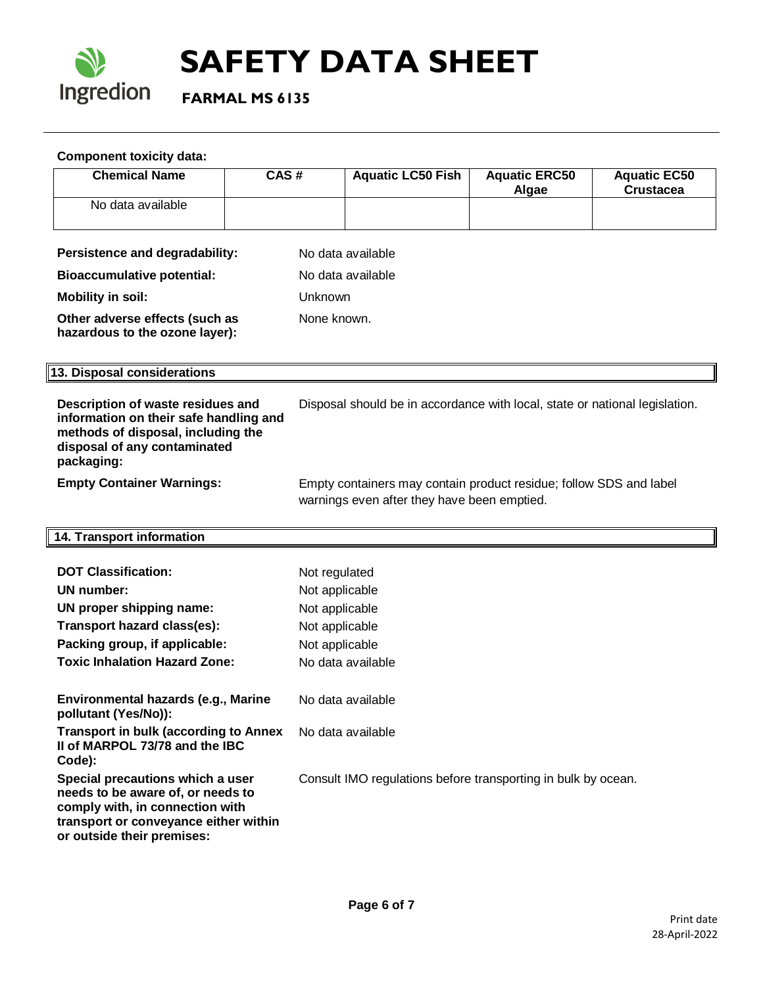

 **FARMAL MS 6135**

## **Component toxicity data:**

| <b>Chemical Name</b>                                                                                                                                                            | CAS# | <b>Aquatic LC50 Fish</b>                                                                                          | <b>Aquatic ERC50</b><br>Algae | <b>Aquatic EC50</b><br><b>Crustacea</b> |  |
|---------------------------------------------------------------------------------------------------------------------------------------------------------------------------------|------|-------------------------------------------------------------------------------------------------------------------|-------------------------------|-----------------------------------------|--|
| No data available                                                                                                                                                               |      |                                                                                                                   |                               |                                         |  |
| Persistence and degradability:                                                                                                                                                  |      | No data available                                                                                                 |                               |                                         |  |
| <b>Bioaccumulative potential:</b>                                                                                                                                               |      | No data available                                                                                                 |                               |                                         |  |
| <b>Mobility in soil:</b>                                                                                                                                                        |      | Unknown                                                                                                           |                               |                                         |  |
| Other adverse effects (such as<br>hazardous to the ozone layer):                                                                                                                |      | None known.                                                                                                       |                               |                                         |  |
| 13. Disposal considerations                                                                                                                                                     |      |                                                                                                                   |                               |                                         |  |
| Description of waste residues and<br>information on their safe handling and<br>methods of disposal, including the<br>disposal of any contaminated<br>packaging:                 |      | Disposal should be in accordance with local, state or national legislation.                                       |                               |                                         |  |
| <b>Empty Container Warnings:</b>                                                                                                                                                |      | Empty containers may contain product residue; follow SDS and label<br>warnings even after they have been emptied. |                               |                                         |  |
| 14. Transport information                                                                                                                                                       |      |                                                                                                                   |                               |                                         |  |
| <b>DOT Classification:</b>                                                                                                                                                      |      | Not regulated                                                                                                     |                               |                                         |  |
| UN number:                                                                                                                                                                      |      | Not applicable                                                                                                    |                               |                                         |  |
| UN proper shipping name:                                                                                                                                                        |      | Not applicable                                                                                                    |                               |                                         |  |
| Transport hazard class(es):                                                                                                                                                     |      | Not applicable                                                                                                    |                               |                                         |  |
| Packing group, if applicable:                                                                                                                                                   |      | Not applicable                                                                                                    |                               |                                         |  |
| <b>Toxic Inhalation Hazard Zone:</b>                                                                                                                                            |      | No data available                                                                                                 |                               |                                         |  |
| Environmental hazards (e.g., Marine<br>pollutant (Yes/No)):                                                                                                                     |      | No data available                                                                                                 |                               |                                         |  |
| <b>Transport in bulk (according to Annex</b><br>II of MARPOL 73/78 and the IBC<br>Code):                                                                                        |      | No data available                                                                                                 |                               |                                         |  |
| Special precautions which a user<br>needs to be aware of, or needs to<br>comply with, in connection with<br>transport or conveyance either within<br>or outside their premises: |      | Consult IMO regulations before transporting in bulk by ocean.                                                     |                               |                                         |  |